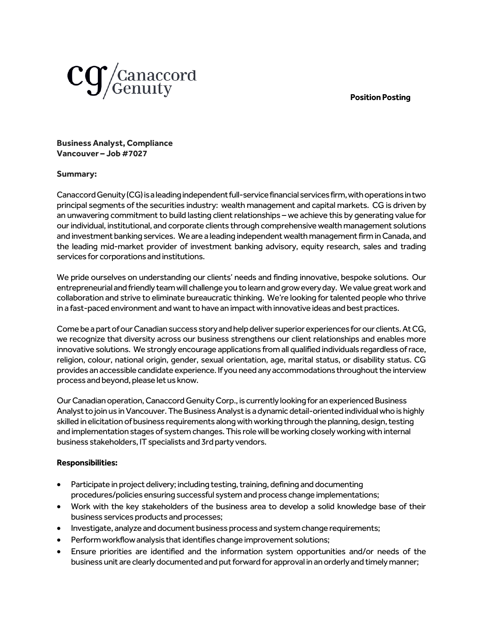# **Position Posting**



**Business Analyst, Compliance Vancouver – Job #7027**

### **Summary:**

Canaccord Genuity (CG) is a leading independent full-service financial services firm, with operations in two principal segments of the securities industry: wealth management and capital markets. CG is driven by an unwavering commitment to build lasting client relationships – we achieve this by generating value for our individual, institutional, and corporate clients through comprehensive wealth management solutions and investment banking services. We are a leading independent wealth management firm in Canada, and the leading mid-market provider of investment banking advisory, equity research, sales and trading services for corporations and institutions.

We pride ourselves on understanding our clients' needs and finding innovative, bespoke solutions. Our entrepreneurial and friendly team will challenge you to learn and grow every day. We value great work and collaboration and strive to eliminate bureaucratic thinking. We're looking for talented people who thrive in a fast-paced environment and want to have an impact with innovative ideas and best practices.

Come be a part of our Canadian success story and help deliver superior experiences for our clients. At CG, we recognize that diversity across our business strengthens our client relationships and enables more innovative solutions. We strongly encourage applications from all qualified individuals regardless of race, religion, colour, national origin, gender, sexual orientation, age, marital status, or disability status. CG provides an accessible candidate experience. If you need any accommodations throughout the interview process and beyond, please let us know.

Our Canadian operation, Canaccord Genuity Corp., is currently looking for an experienced Business Analystto join us in Vancouver. The Business Analyst is a dynamic detail-oriented individual who is highly skilled in elicitation of business requirements along with working through the planning, design, testing and implementation stages of system changes. This role will be working closelyworking with internal business stakeholders, IT specialists and 3rd party vendors.

# **Responsibilities:**

- Participate in project delivery; including testing, training, defining and documenting procedures/policies ensuring successful system and process change implementations;
- Work with the key stakeholders of the business area to develop a solid knowledge base of their business services products and processes;
- Investigate, analyze and document business process and system change requirements;
- Perform workflow analysis that identifies change improvement solutions;
- Ensure priorities are identified and the information system opportunities and/or needs of the business unit are clearly documented and put forward for approval in an orderly and timely manner;